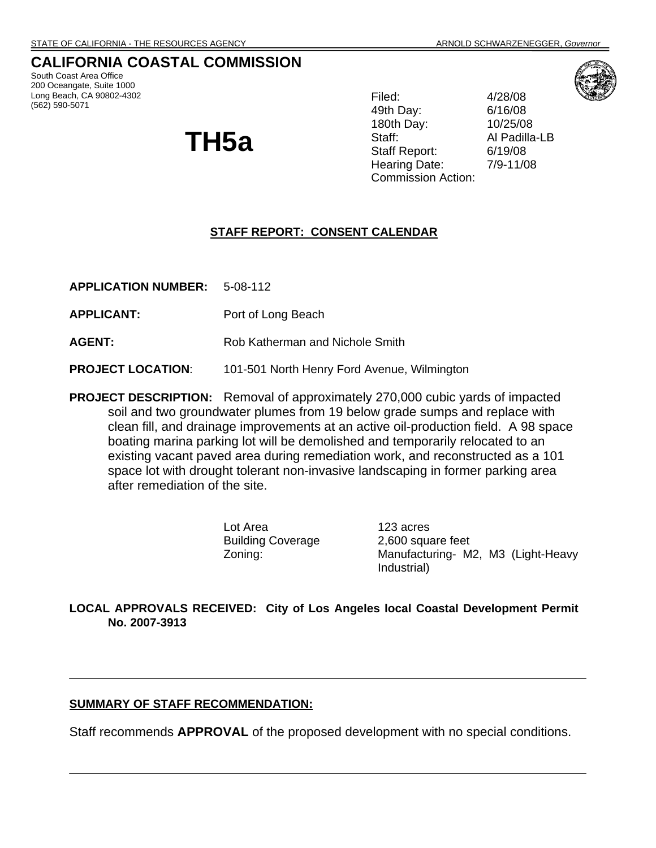# **CALIFORNIA COASTAL COMMISSION**

South Coast Area Office 200 Oceangate, Suite 1000 Long Beach, CA 90802-4302 (562) 590-5071

# **TH5a**

Filed: 4/28/08 49th Day: 6/16/08 180th Day: 10/25/08 Staff: Al Padilla-LB Staff Report: 6/19/08 Hearing Date: 7/9-11/08 Commission Action:



#### **STAFF REPORT: CONSENT CALENDAR**

**APPLICATION NUMBER:** 5-08-112

**APPLICANT:** Port of Long Beach

**AGENT:** Rob Katherman and Nichole Smith

**PROJECT LOCATION:** 101-501 North Henry Ford Avenue, Wilmington

**PROJECT DESCRIPTION:** Removal of approximately 270,000 cubic yards of impacted soil and two groundwater plumes from 19 below grade sumps and replace with clean fill, and drainage improvements at an active oil-production field. A 98 space boating marina parking lot will be demolished and temporarily relocated to an existing vacant paved area during remediation work, and reconstructed as a 101 space lot with drought tolerant non-invasive landscaping in former parking area after remediation of the site.

> Lot Area 123 acres Building Coverage 2,600 square feet

Zoning: Manufacturing- M2, M3 (Light-Heavy Industrial)

**LOCAL APPROVALS RECEIVED: City of Los Angeles local Coastal Development Permit No. 2007-3913** 

#### **SUMMARY OF STAFF RECOMMENDATION:**

Staff recommends **APPROVAL** of the proposed development with no special conditions.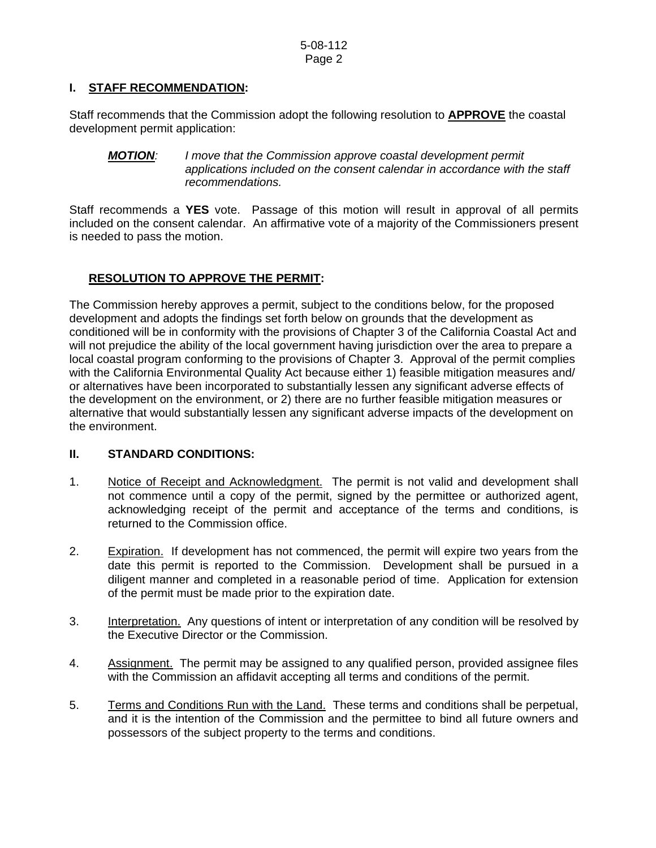#### **I. STAFF RECOMMENDATION:**

Staff recommends that the Commission adopt the following resolution to **APPROVE** the coastal development permit application:

#### *MOTION: I move that the Commission approve coastal development permit applications included on the consent calendar in accordance with the staff recommendations.*

Staff recommends a **YES** vote. Passage of this motion will result in approval of all permits included on the consent calendar. An affirmative vote of a majority of the Commissioners present is needed to pass the motion.

### **RESOLUTION TO APPROVE THE PERMIT:**

The Commission hereby approves a permit, subject to the conditions below, for the proposed development and adopts the findings set forth below on grounds that the development as conditioned will be in conformity with the provisions of Chapter 3 of the California Coastal Act and will not prejudice the ability of the local government having jurisdiction over the area to prepare a local coastal program conforming to the provisions of Chapter 3. Approval of the permit complies with the California Environmental Quality Act because either 1) feasible mitigation measures and/ or alternatives have been incorporated to substantially lessen any significant adverse effects of the development on the environment, or 2) there are no further feasible mitigation measures or alternative that would substantially lessen any significant adverse impacts of the development on the environment.

#### **II. STANDARD CONDITIONS:**

- 1. Notice of Receipt and Acknowledgment. The permit is not valid and development shall not commence until a copy of the permit, signed by the permittee or authorized agent, acknowledging receipt of the permit and acceptance of the terms and conditions, is returned to the Commission office.
- 2. Expiration. If development has not commenced, the permit will expire two years from the date this permit is reported to the Commission. Development shall be pursued in a diligent manner and completed in a reasonable period of time. Application for extension of the permit must be made prior to the expiration date.
- 3. Interpretation. Any questions of intent or interpretation of any condition will be resolved by the Executive Director or the Commission.
- 4. Assignment. The permit may be assigned to any qualified person, provided assignee files with the Commission an affidavit accepting all terms and conditions of the permit.
- 5. Terms and Conditions Run with the Land. These terms and conditions shall be perpetual, and it is the intention of the Commission and the permittee to bind all future owners and possessors of the subject property to the terms and conditions.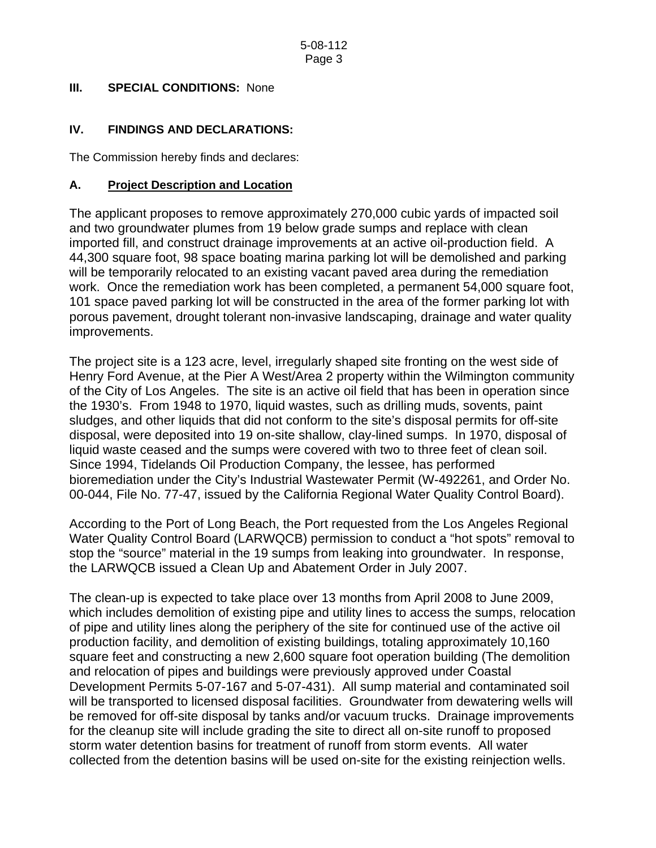## **III. SPECIAL CONDITIONS: None**

## **IV. FINDINGS AND DECLARATIONS:**

The Commission hereby finds and declares:

#### **A. Project Description and Location**

The applicant proposes to remove approximately 270,000 cubic yards of impacted soil and two groundwater plumes from 19 below grade sumps and replace with clean imported fill, and construct drainage improvements at an active oil-production field. A 44,300 square foot, 98 space boating marina parking lot will be demolished and parking will be temporarily relocated to an existing vacant paved area during the remediation work. Once the remediation work has been completed, a permanent 54,000 square foot, 101 space paved parking lot will be constructed in the area of the former parking lot with porous pavement, drought tolerant non-invasive landscaping, drainage and water quality improvements.

The project site is a 123 acre, level, irregularly shaped site fronting on the west side of Henry Ford Avenue, at the Pier A West/Area 2 property within the Wilmington community of the City of Los Angeles. The site is an active oil field that has been in operation since the 1930's. From 1948 to 1970, liquid wastes, such as drilling muds, sovents, paint sludges, and other liquids that did not conform to the site's disposal permits for off-site disposal, were deposited into 19 on-site shallow, clay-lined sumps. In 1970, disposal of liquid waste ceased and the sumps were covered with two to three feet of clean soil. Since 1994, Tidelands Oil Production Company, the lessee, has performed bioremediation under the City's Industrial Wastewater Permit (W-492261, and Order No. 00-044, File No. 77-47, issued by the California Regional Water Quality Control Board).

According to the Port of Long Beach, the Port requested from the Los Angeles Regional Water Quality Control Board (LARWQCB) permission to conduct a "hot spots" removal to stop the "source" material in the 19 sumps from leaking into groundwater. In response, the LARWQCB issued a Clean Up and Abatement Order in July 2007.

The clean-up is expected to take place over 13 months from April 2008 to June 2009, which includes demolition of existing pipe and utility lines to access the sumps, relocation of pipe and utility lines along the periphery of the site for continued use of the active oil production facility, and demolition of existing buildings, totaling approximately 10,160 square feet and constructing a new 2,600 square foot operation building (The demolition and relocation of pipes and buildings were previously approved under Coastal Development Permits 5-07-167 and 5-07-431). All sump material and contaminated soil will be transported to licensed disposal facilities. Groundwater from dewatering wells will be removed for off-site disposal by tanks and/or vacuum trucks. Drainage improvements for the cleanup site will include grading the site to direct all on-site runoff to proposed storm water detention basins for treatment of runoff from storm events. All water collected from the detention basins will be used on-site for the existing reinjection wells.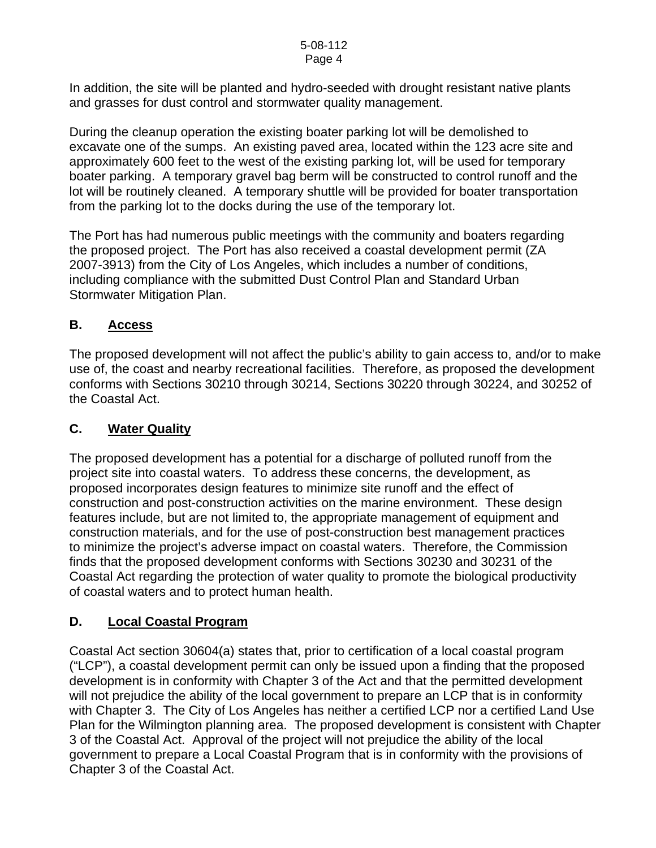In addition, the site will be planted and hydro-seeded with drought resistant native plants and grasses for dust control and stormwater quality management.

During the cleanup operation the existing boater parking lot will be demolished to excavate one of the sumps. An existing paved area, located within the 123 acre site and approximately 600 feet to the west of the existing parking lot, will be used for temporary boater parking. A temporary gravel bag berm will be constructed to control runoff and the lot will be routinely cleaned. A temporary shuttle will be provided for boater transportation from the parking lot to the docks during the use of the temporary lot.

The Port has had numerous public meetings with the community and boaters regarding the proposed project. The Port has also received a coastal development permit (ZA 2007-3913) from the City of Los Angeles, which includes a number of conditions, including compliance with the submitted Dust Control Plan and Standard Urban Stormwater Mitigation Plan.

## **B. Access**

The proposed development will not affect the public's ability to gain access to, and/or to make use of, the coast and nearby recreational facilities. Therefore, as proposed the development conforms with Sections 30210 through 30214, Sections 30220 through 30224, and 30252 of the Coastal Act.

## **C. Water Quality**

The proposed development has a potential for a discharge of polluted runoff from the project site into coastal waters. To address these concerns, the development, as proposed incorporates design features to minimize site runoff and the effect of construction and post-construction activities on the marine environment. These design features include, but are not limited to, the appropriate management of equipment and construction materials, and for the use of post-construction best management practices to minimize the project's adverse impact on coastal waters. Therefore, the Commission finds that the proposed development conforms with Sections 30230 and 30231 of the Coastal Act regarding the protection of water quality to promote the biological productivity of coastal waters and to protect human health.

# **D. Local Coastal Program**

Coastal Act section 30604(a) states that, prior to certification of a local coastal program ("LCP"), a coastal development permit can only be issued upon a finding that the proposed development is in conformity with Chapter 3 of the Act and that the permitted development will not prejudice the ability of the local government to prepare an LCP that is in conformity with Chapter 3. The City of Los Angeles has neither a certified LCP nor a certified Land Use Plan for the Wilmington planning area. The proposed development is consistent with Chapter 3 of the Coastal Act. Approval of the project will not prejudice the ability of the local government to prepare a Local Coastal Program that is in conformity with the provisions of Chapter 3 of the Coastal Act.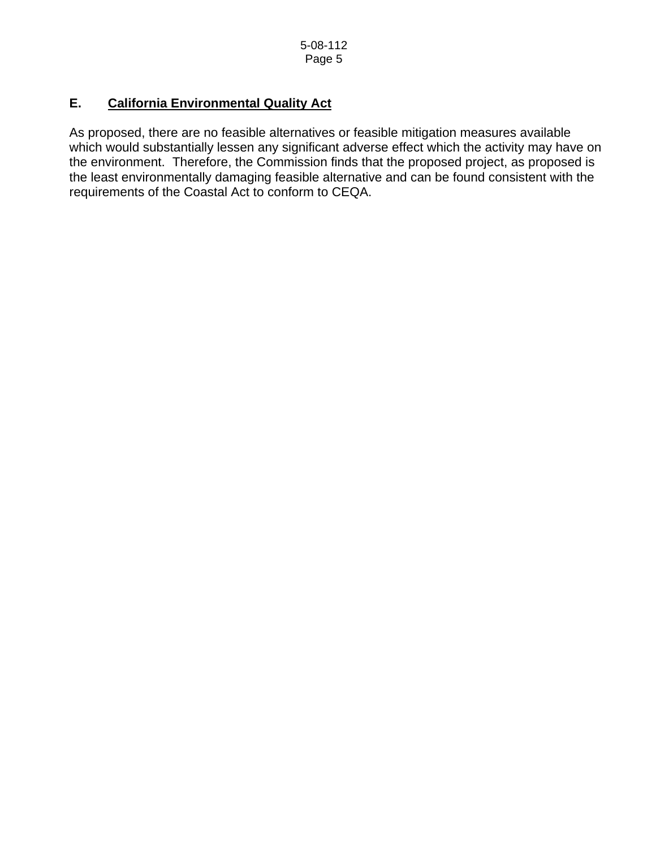# **E. California Environmental Quality Act**

As proposed, there are no feasible alternatives or feasible mitigation measures available which would substantially lessen any significant adverse effect which the activity may have on the environment. Therefore, the Commission finds that the proposed project, as proposed is the least environmentally damaging feasible alternative and can be found consistent with the requirements of the Coastal Act to conform to CEQA.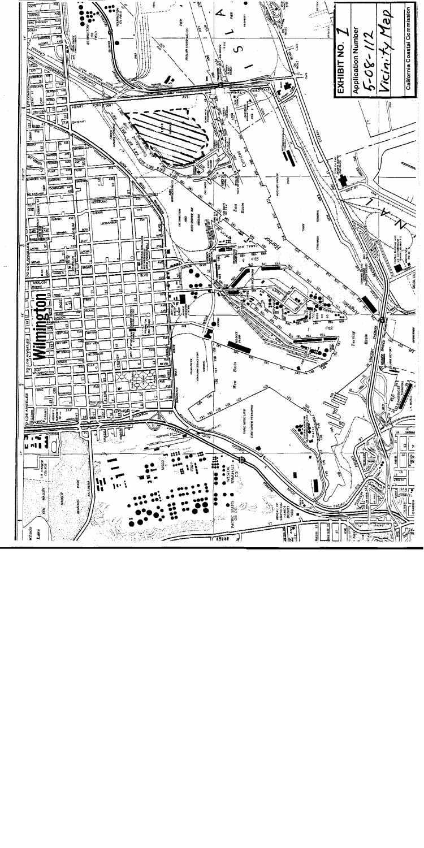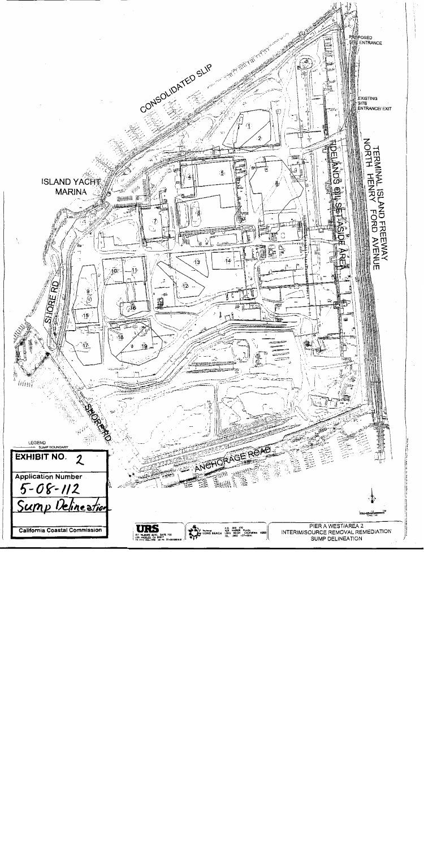